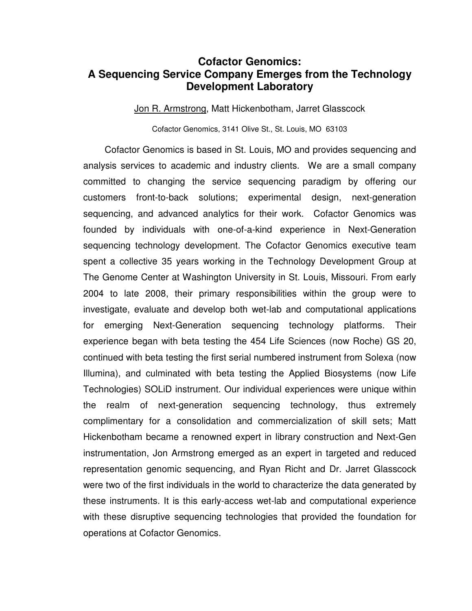## **Cofactor Genomics: A Sequencing Service Company Emerges from the Technology Development Laboratory**

Jon R. Armstrong, Matt Hickenbotham, Jarret Glasscock

Cofactor Genomics, 3141 Olive St., St. Louis, MO 63103

 Cofactor Genomics is based in St. Louis, MO and provides sequencing and analysis services to academic and industry clients. We are a small company committed to changing the service sequencing paradigm by offering our customers front-to-back solutions; experimental design, next-generation sequencing, and advanced analytics for their work. Cofactor Genomics was founded by individuals with one-of-a-kind experience in Next-Generation sequencing technology development. The Cofactor Genomics executive team spent a collective 35 years working in the Technology Development Group at The Genome Center at Washington University in St. Louis, Missouri. From early 2004 to late 2008, their primary responsibilities within the group were to investigate, evaluate and develop both wet-lab and computational applications for emerging Next-Generation sequencing technology platforms. Their experience began with beta testing the 454 Life Sciences (now Roche) GS 20, continued with beta testing the first serial numbered instrument from Solexa (now Illumina), and culminated with beta testing the Applied Biosystems (now Life Technologies) SOLiD instrument. Our individual experiences were unique within the realm of next-generation sequencing technology, thus extremely complimentary for a consolidation and commercialization of skill sets; Matt Hickenbotham became a renowned expert in library construction and Next-Gen instrumentation, Jon Armstrong emerged as an expert in targeted and reduced representation genomic sequencing, and Ryan Richt and Dr. Jarret Glasscock were two of the first individuals in the world to characterize the data generated by these instruments. It is this early-access wet-lab and computational experience with these disruptive sequencing technologies that provided the foundation for operations at Cofactor Genomics.